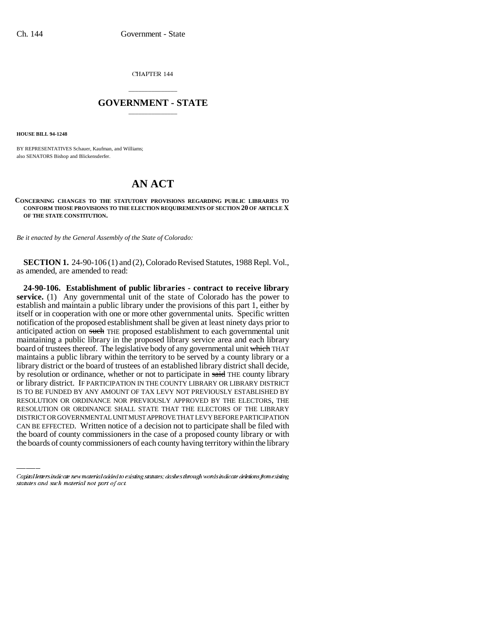CHAPTER 144

## \_\_\_\_\_\_\_\_\_\_\_\_\_\_\_ **GOVERNMENT - STATE** \_\_\_\_\_\_\_\_\_\_\_\_\_\_\_

**HOUSE BILL 94-1248**

BY REPRESENTATIVES Schauer, Kaufman, and Williams; also SENATORS Bishop and Blickensderfer.

## **AN ACT**

**CONCERNING CHANGES TO THE STATUTORY PROVISIONS REGARDING PUBLIC LIBRARIES TO CONFORM THOSE PROVISIONS TO THE ELECTION REQUIREMENTS OF SECTION 20 OF ARTICLE X OF THE STATE CONSTITUTION.**

*Be it enacted by the General Assembly of the State of Colorado:*

**SECTION 1.** 24-90-106 (1) and (2), Colorado Revised Statutes, 1988 Repl. Vol., as amended, are amended to read:

RESOLUTION OR ORDINANCE SHALL STATE THAT THE ELECTORS OF THE LIBRARY **24-90-106. Establishment of public libraries - contract to receive library** service. (1) Any governmental unit of the state of Colorado has the power to establish and maintain a public library under the provisions of this part 1, either by itself or in cooperation with one or more other governmental units. Specific written notification of the proposed establishment shall be given at least ninety days prior to anticipated action on such THE proposed establishment to each governmental unit maintaining a public library in the proposed library service area and each library board of trustees thereof. The legislative body of any governmental unit which THAT maintains a public library within the territory to be served by a county library or a library district or the board of trustees of an established library district shall decide, by resolution or ordinance, whether or not to participate in said THE county library or library district. IF PARTICIPATION IN THE COUNTY LIBRARY OR LIBRARY DISTRICT IS TO BE FUNDED BY ANY AMOUNT OF TAX LEVY NOT PREVIOUSLY ESTABLISHED BY RESOLUTION OR ORDINANCE NOR PREVIOUSLY APPROVED BY THE ELECTORS, THE DISTRICT OR GOVERNMENTAL UNIT MUST APPROVE THAT LEVY BEFORE PARTICIPATION CAN BE EFFECTED. Written notice of a decision not to participate shall be filed with the board of county commissioners in the case of a proposed county library or with the boards of county commissioners of each county having territory within the library

Capital letters indicate new material added to existing statutes; dashes through words indicate deletions from existing statutes and such material not part of act.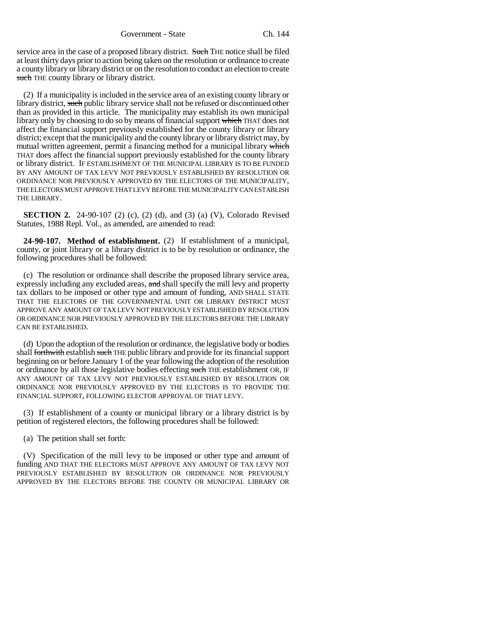service area in the case of a proposed library district. Such THE notice shall be filed at least thirty days prior to action being taken on the resolution or ordinance to create a county library or library district or on the resolution to conduct an election to create such THE county library or library district.

(2) If a municipality is included in the service area of an existing county library or library district, such public library service shall not be refused or discontinued other than as provided in this article. The municipality may establish its own municipal library only by choosing to do so by means of financial support which THAT does not affect the financial support previously established for the county library or library district; except that the municipality and the county library or library district may, by mutual written agreement, permit a financing method for a municipal library which THAT does affect the financial support previously established for the county library or library district. IF ESTABLISHMENT OF THE MUNICIPAL LIBRARY IS TO BE FUNDED BY ANY AMOUNT OF TAX LEVY NOT PREVIOUSLY ESTABLISHED BY RESOLUTION OR ORDINANCE NOR PREVIOUSLY APPROVED BY THE ELECTORS OF THE MUNICIPALITY, THE ELECTORS MUST APPROVE THAT LEVY BEFORE THE MUNICIPALITY CAN ESTABLISH THE LIBRARY.

**SECTION 2.** 24-90-107 (2) (c), (2) (d), and (3) (a) (V), Colorado Revised Statutes, 1988 Repl. Vol., as amended, are amended to read:

**24-90-107. Method of establishment.** (2) If establishment of a municipal, county, or joint library or a library district is to be by resolution or ordinance, the following procedures shall be followed:

(c) The resolution or ordinance shall describe the proposed library service area, expressly including any excluded areas, and shall specify the mill levy and property tax dollars to be imposed or other type and amount of funding, AND SHALL STATE THAT THE ELECTORS OF THE GOVERNMENTAL UNIT OR LIBRARY DISTRICT MUST APPROVE ANY AMOUNT OF TAX LEVY NOT PREVIOUSLY ESTABLISHED BY RESOLUTION OR ORDINANCE NOR PREVIOUSLY APPROVED BY THE ELECTORS BEFORE THE LIBRARY CAN BE ESTABLISHED.

(d) Upon the adoption of the resolution or ordinance, the legislative body or bodies shall forthwith establish such THE public library and provide for its financial support beginning on or before January 1 of the year following the adoption of the resolution or ordinance by all those legislative bodies effecting such THE establishment OR, IF ANY AMOUNT OF TAX LEVY NOT PREVIOUSLY ESTABLISHED BY RESOLUTION OR ORDINANCE NOR PREVIOUSLY APPROVED BY THE ELECTORS IS TO PROVIDE THE FINANCIAL SUPPORT, FOLLOWING ELECTOR APPROVAL OF THAT LEVY.

(3) If establishment of a county or municipal library or a library district is by petition of registered electors, the following procedures shall be followed:

(a) The petition shall set forth:

(V) Specification of the mill levy to be imposed or other type and amount of funding AND THAT THE ELECTORS MUST APPROVE ANY AMOUNT OF TAX LEVY NOT PREVIOUSLY ESTABLISHED BY RESOLUTION OR ORDINANCE NOR PREVIOUSLY APPROVED BY THE ELECTORS BEFORE THE COUNTY OR MUNICIPAL LIBRARY OR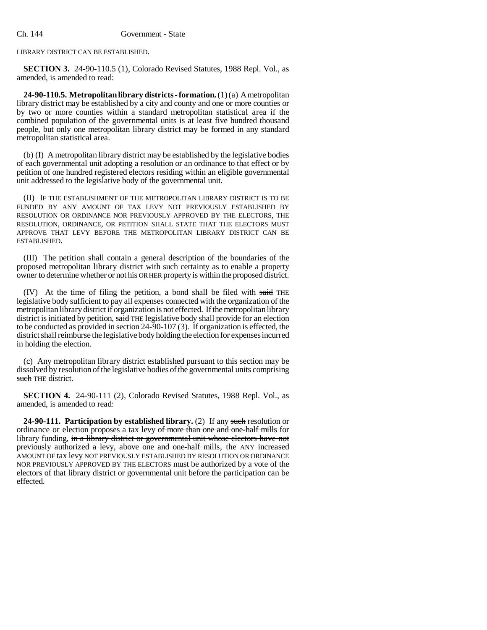LIBRARY DISTRICT CAN BE ESTABLISHED.

**SECTION 3.** 24-90-110.5 (1), Colorado Revised Statutes, 1988 Repl. Vol., as amended, is amended to read:

**24-90-110.5. Metropolitan library districts - formation.** (1) (a) A metropolitan library district may be established by a city and county and one or more counties or by two or more counties within a standard metropolitan statistical area if the combined population of the governmental units is at least five hundred thousand people, but only one metropolitan library district may be formed in any standard metropolitan statistical area.

(b) (I) A metropolitan library district may be established by the legislative bodies of each governmental unit adopting a resolution or an ordinance to that effect or by petition of one hundred registered electors residing within an eligible governmental unit addressed to the legislative body of the governmental unit.

(II) IF THE ESTABLISHMENT OF THE METROPOLITAN LIBRARY DISTRICT IS TO BE FUNDED BY ANY AMOUNT OF TAX LEVY NOT PREVIOUSLY ESTABLISHED BY RESOLUTION OR ORDINANCE NOR PREVIOUSLY APPROVED BY THE ELECTORS, THE RESOLUTION, ORDINANCE, OR PETITION SHALL STATE THAT THE ELECTORS MUST APPROVE THAT LEVY BEFORE THE METROPOLITAN LIBRARY DISTRICT CAN BE ESTABLISHED.

(III) The petition shall contain a general description of the boundaries of the proposed metropolitan library district with such certainty as to enable a property owner to determine whether or not his OR HER property is within the proposed district.

(IV) At the time of filing the petition, a bond shall be filed with said THE legislative body sufficient to pay all expenses connected with the organization of the metropolitan library district if organization is not effected. If the metropolitan library district is initiated by petition, said THE legislative body shall provide for an election to be conducted as provided in section 24-90-107 (3). If organization is effected, the district shall reimburse the legislative body holding the election for expenses incurred in holding the election.

(c) Any metropolitan library district established pursuant to this section may be dissolved by resolution of the legislative bodies of the governmental units comprising such THE district.

**SECTION 4.** 24-90-111 (2), Colorado Revised Statutes, 1988 Repl. Vol., as amended, is amended to read:

**24-90-111. Participation by established library.** (2) If any such resolution or ordinance or election proposes a tax levy of more than one and one-half mills for library funding, in a library district or governmental unit whose electors have not previously authorized a levy, above one and one-half mills, the ANY increased AMOUNT OF tax levy NOT PREVIOUSLY ESTABLISHED BY RESOLUTION OR ORDINANCE NOR PREVIOUSLY APPROVED BY THE ELECTORS must be authorized by a vote of the electors of that library district or governmental unit before the participation can be effected.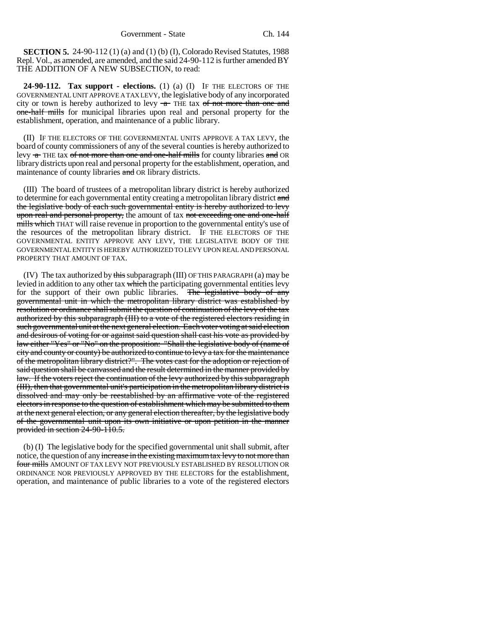**SECTION 5.** 24-90-112 (1) (a) and (1) (b) (I), Colorado Revised Statutes, 1988 Repl. Vol., as amended, are amended, and the said 24-90-112 is further amended BY THE ADDITION OF A NEW SUBSECTION, to read:

**24-90-112. Tax support - elections.** (1) (a) (I) IF THE ELECTORS OF THE GOVERNMENTAL UNIT APPROVE A TAX LEVY, the legislative body of any incorporated city or town is hereby authorized to levy  $-a$  THE tax of not more than one and one-half mills for municipal libraries upon real and personal property for the establishment, operation, and maintenance of a public library.

(II) IF THE ELECTORS OF THE GOVERNMENTAL UNITS APPROVE A TAX LEVY, the board of county commissioners of any of the several counties is hereby authorized to levy  $\tau$  THE tax of not more than one and one-half mills for county libraries and OR library districts upon real and personal property for the establishment, operation, and maintenance of county libraries and OR library districts.

(III) The board of trustees of a metropolitan library district is hereby authorized to determine for each governmental entity creating a metropolitan library district and the legislative body of each such governmental entity is hereby authorized to levy upon real and personal property, the amount of tax not exceeding one and one-half mills which THAT will raise revenue in proportion to the governmental entity's use of the resources of the metropolitan library district. IF THE ELECTORS OF THE GOVERNMENTAL ENTITY APPROVE ANY LEVY, THE LEGISLATIVE BODY OF THE GOVERNMENTAL ENTITY IS HEREBY AUTHORIZED TO LEVY UPON REAL AND PERSONAL PROPERTY THAT AMOUNT OF TAX.

(IV) The tax authorized by this subparagraph (III) OF THIS PARAGRAPH (a) may be levied in addition to any other tax which the participating governmental entities levy for the support of their own public libraries. The legislative body of any governmental unit in which the metropolitan library district was established by resolution or ordinance shall submit the question of continuation of the levy of the tax authorized by this subparagraph (III) to a vote of the registered electors residing in such governmental unit at the next general election. Each voter voting at said election and desirous of voting for or against said question shall cast his vote as provided by law either "Yes" or "No" on the proposition: "Shall the legislative body of (name of city and county or county) be authorized to continue to levy a tax for the maintenance of the metropolitan library district?". The votes cast for the adoption or rejection of said question shall be canvassed and the result determined in the manner provided by law. If the voters reject the continuation of the levy authorized by this subparagraph (III), then that governmental unit's participation in the metropolitan library district is dissolved and may only be reestablished by an affirmative vote of the registered electors in response to the question of establishment which may be submitted to them at the next general election, or any general election thereafter, by the legislative body of the governmental unit upon its own initiative or upon petition in the manner provided in section 24-90-110.5.

(b) (I) The legislative body for the specified governmental unit shall submit, after notice, the question of any increase in the existing maximum tax levy to not more than four mills AMOUNT OF TAX LEVY NOT PREVIOUSLY ESTABLISHED BY RESOLUTION OR ORDINANCE NOR PREVIOUSLY APPROVED BY THE ELECTORS for the establishment, operation, and maintenance of public libraries to a vote of the registered electors